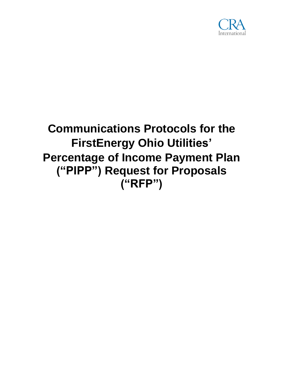

# **Communications Protocols for the FirstEnergy Ohio Utilities' Percentage of Income Payment Plan ("PIPP") Request for Proposals ("RFP")**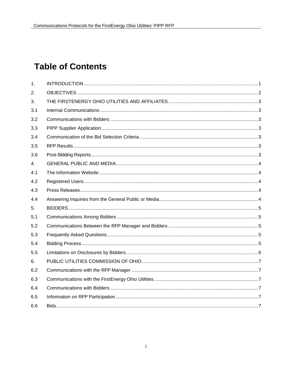# **Table of Contents**

| 1.  |  |
|-----|--|
| 2.  |  |
| 3.  |  |
| 3.1 |  |
| 3.2 |  |
| 3.3 |  |
| 3.4 |  |
| 3.5 |  |
| 3.6 |  |
| 4.  |  |
| 4.1 |  |
| 4.2 |  |
| 4.3 |  |
| 4.4 |  |
| 5.  |  |
| 5.1 |  |
| 5.2 |  |
| 5.3 |  |
| 5.4 |  |
| 5.5 |  |
| 6.  |  |
| 6.2 |  |
| 6.3 |  |
| 6.4 |  |
| 6.5 |  |
| 6.6 |  |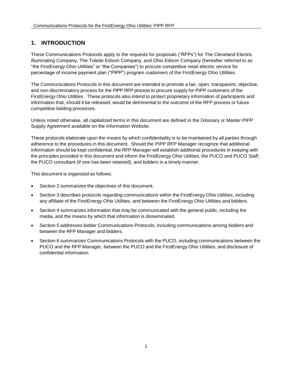# <span id="page-2-0"></span>**1. INTRODUCTION**

These Communications Protocols apply to the requests for proposals ("RFPs") for The Cleveland Electric Illuminating Company, The Toledo Edison Company, and Ohio Edison Company (hereafter referred to as "the FirstEnergy Ohio Utilities" or "the Companies") to procure competitive retail electric service for percentage of income payment plan ("PIPP") program customers of the FirstEnergy Ohio Utilities.

The Communications Protocols in this document are intended to promote a fair, open, transparent, objective, and non-discriminatory process for the PIPP RFP process to procure supply for PIPP customers of the FirstEnergy Ohio Utilities. These protocols also intend to protect proprietary information of participants and information that, should it be released, would be detrimental to the outcome of the RFP process or future competitive bidding processes.

Unless noted otherwise, all capitalized terms in this document are defined in the Glossary or Master PIPP Supply Agreement available on the Information Website.

These protocols elaborate upon the means by which confidentiality is to be maintained by all parties through adherence to the procedures in this document. Should the PIPP RFP Manager recognize that additional information should be kept confidential, the RFP Manager will establish additional procedures in keeping with the principles provided in this document and inform the FirstEnergy Ohio Utilities, the PUCO and PUCO Staff, the PUCO consultant (if one has been retained), and bidders in a timely manner.

This document is organized as follows:

- Section 2 summarizes the objectives of this document.
- Section 3 describes protocols regarding communications within the FirstEnergy Ohio Utilities, including any affiliate of the FirstEnergy Ohio Utilities, and between the FirstEnergy Ohio Utilities and bidders.
- Section 4 summarizes information that may be communicated with the general public, including the media, and the means by which that information is disseminated.
- Section 5 addresses bidder Communications Protocols, including communications among bidders and between the RFP Manager and bidders.
- Section 6 summarizes Communications Protocols with the PUCO, including communications between the PUCO and the RFP Manager, between the PUCO and the FirstEnergy Ohio Utilities, and disclosure of confidential information.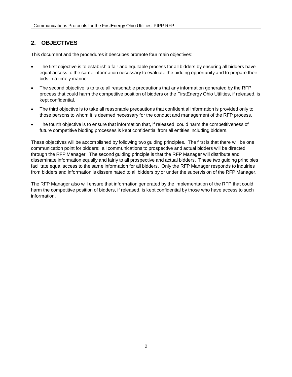# <span id="page-3-0"></span>**2. OBJECTIVES**

This document and the procedures it describes promote four main objectives:

- The first objective is to establish a fair and equitable process for all bidders by ensuring all bidders have equal access to the same information necessary to evaluate the bidding opportunity and to prepare their bids in a timely manner.
- The second objective is to take all reasonable precautions that any information generated by the RFP process that could harm the competitive position of bidders or the FirstEnergy Ohio Utilities, if released, is kept confidential.
- The third objective is to take all reasonable precautions that confidential information is provided only to those persons to whom it is deemed necessary for the conduct and management of the RFP process.
- The fourth objective is to ensure that information that, if released, could harm the competitiveness of future competitive bidding processes is kept confidential from all entities including bidders.

These objectives will be accomplished by following two guiding principles. The first is that there will be one communication point for bidders: all communications to prospective and actual bidders will be directed through the RFP Manager. The second guiding principle is that the RFP Manager will distribute and disseminate information equally and fairly to all prospective and actual bidders. These two guiding principles facilitate equal access to the same information for all bidders. Only the RFP Manager responds to inquiries from bidders and information is disseminated to all bidders by or under the supervision of the RFP Manager.

The RFP Manager also will ensure that information generated by the implementation of the RFP that could harm the competitive position of bidders, if released, is kept confidential by those who have access to such information.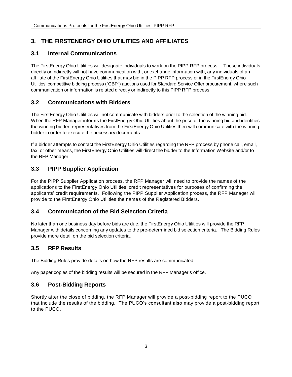# <span id="page-4-0"></span>**3. THE FIRSTENERGY OHIO UTILITIES AND AFFILIATES**

# <span id="page-4-1"></span>**3.1 Internal Communications**

The FirstEnergy Ohio Utilities will designate individuals to work on the PIPP RFP process. These individuals directly or indirectly will not have communication with, or exchange information with, any individuals of an affiliate of the FirstEnergy Ohio Utilities that may bid in the PIPP RFP process or in the FirstEnergy Ohio Utilities' competitive bidding process ("CBP") auctions used for Standard Service Offer procurement, where such communication or information is related directly or indirectly to this PIPP RFP process.

#### <span id="page-4-2"></span>**3.2 Communications with Bidders**

The FirstEnergy Ohio Utilities will not communicate with bidders prior to the selection of the winning bid. When the RFP Manager informs the FirstEnergy Ohio Utilities about the price of the winning bid and identifies the winning bidder, representatives from the FirstEnergy Ohio Utilities then will communicate with the winning bidder in order to execute the necessary documents.

If a bidder attempts to contact the FirstEnergy Ohio Utilities regarding the RFP process by phone call, email, fax, or other means, the FirstEnergy Ohio Utilities will direct the bidder to the Information Website and/or to the RFP Manager.

# <span id="page-4-3"></span>**3.3 PIPP Supplier Application**

For the PIPP Supplier Application process, the RFP Manager will need to provide the names of the applications to the FirstEnergy Ohio Utilities' credit representatives for purposes of confirming the applicants' credit requirements. Following the PIPP Supplier Application process, the RFP Manager will provide to the FirstEnergy Ohio Utilities the names of the Registered Bidders.

# <span id="page-4-4"></span>**3.4 Communication of the Bid Selection Criteria**

No later than one business day before bids are due, the FirstEnergy Ohio Utilities will provide the RFP Manager with details concerning any updates to the pre-determined bid selection criteria. The Bidding Rules provide more detail on the bid selection criteria.

# <span id="page-4-5"></span>**3.5 RFP Results**

The Bidding Rules provide details on how the RFP results are communicated.

Any paper copies of the bidding results will be secured in the RFP Manager's office.

# <span id="page-4-6"></span>**3.6 Post-Bidding Reports**

Shortly after the close of bidding, the RFP Manager will provide a post-bidding report to the PUCO that include the results of the bidding. The PUCO's consultant also may provide a post-bidding report to the PUCO.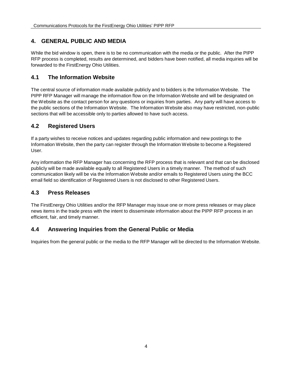# <span id="page-5-0"></span>**4. GENERAL PUBLIC AND MEDIA**

While the bid window is open, there is to be no communication with the media or the public. After the PIPP RFP process is completed, results are determined, and bidders have been notified, all media inquiries will be forwarded to the FirstEnergy Ohio Utilities.

#### <span id="page-5-1"></span>**4.1 The Information Website**

The central source of information made available publicly and to bidders is the Information Website. The PIPP RFP Manager will manage the information flow on the Information Website and will be designated on the Website as the contact person for any questions or inquiries from parties. Any party will have access to the public sections of the Information Website. The Information Website also may have restricted, non-public sections that will be accessible only to parties allowed to have such access.

#### <span id="page-5-2"></span>**4.2 Registered Users**

If a party wishes to receive notices and updates regarding public information and new postings to the Information Website, then the party can register through the Information Website to become a Registered User.

Any information the RFP Manager has concerning the RFP process that is relevant and that can be disclosed publicly will be made available equally to all Registered Users in a timely manner. The method of such communication likely will be via the Information Website and/or emails to Registered Users using the BCC email field so identification of Registered Users is not disclosed to other Registered Users.

# <span id="page-5-3"></span>**4.3 Press Releases**

The FirstEnergy Ohio Utilities and/or the RFP Manager may issue one or more press releases or may place news items in the trade press with the intent to disseminate information about the PIPP RFP process in an efficient, fair, and timely manner.

# <span id="page-5-4"></span>**4.4 Answering Inquiries from the General Public or Media**

Inquiries from the general public or the media to the RFP Manager will be directed to the Information Website.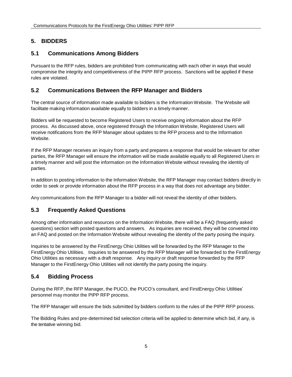# <span id="page-6-0"></span>**5. BIDDERS**

# <span id="page-6-1"></span>**5.1 Communications Among Bidders**

Pursuant to the RFP rules, bidders are prohibited from communicating with each other in ways that would compromise the integrity and competitiveness of the PIPP RFP process. Sanctions will be applied if these rules are violated.

# <span id="page-6-2"></span>**5.2 Communications Between the RFP Manager and Bidders**

The central source of information made available to bidders is the Information Website. The Website will facilitate making information available equally to bidders in a timely manner.

Bidders will be requested to become Registered Users to receive ongoing information about the RFP process. As discussed above, once registered through the Information Website, Registered Users will receive notifications from the RFP Manager about updates to the RFP process and to the Information Website.

If the RFP Manager receives an inquiry from a party and prepares a response that would be relevant for other parties, the RFP Manager will ensure the information will be made available equally to all Registered Users in a timely manner and will post the information on the Information Website without revealing the identity of parties.

In addition to posting information to the Information Website, the RFP Manager may contact bidders directly in order to seek or provide information about the RFP process in a way that does not advantage any bidder.

Any communications from the RFP Manager to a bidder will not reveal the identity of other bidders.

# <span id="page-6-3"></span>**5.3 Frequently Asked Questions**

Among other information and resources on the Information Website, there will be a FAQ (frequently asked questions) section with posted questions and answers. As inquiries are received, they will be converted into an FAQ and posted on the Information Website without revealing the identity of the party posing the inquiry.

Inquiries to be answered by the FirstEnergy Ohio Utilities will be forwarded by the RFP Manager to the FirstEnergy Ohio Utilities. Inquiries to be answered by the RFP Manager will be forwarded to the FirstEnergy Ohio Utilities as necessary with a draft response. Any inquiry or draft response forwarded by the RFP Manager to the FirstEnergy Ohio Utilities will not identify the party posing the inquiry.

# <span id="page-6-4"></span>**5.4 Bidding Process**

During the RFP, the RFP Manager, the PUCO, the PUCO's consultant, and FirstEnergy Ohio Utilities' personnel may monitor the PIPP RFP process.

The RFP Manager will ensure the bids submitted by bidders conform to the rules of the PIPP RFP process.

The Bidding Rules and pre-determined bid selection criteria will be applied to determine which bid, if any, is the tentative winning bid.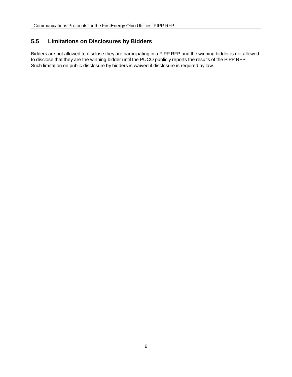#### <span id="page-7-0"></span>**5.5 Limitations on Disclosures by Bidders**

Bidders are not allowed to disclose they are participating in a PIPP RFP and the winning bidder is not allowed to disclose that they are the winning bidder until the PUCO publicly reports the results of the PIPP RFP. Such limitation on public disclosure by bidders is waived if disclosure is required by law.